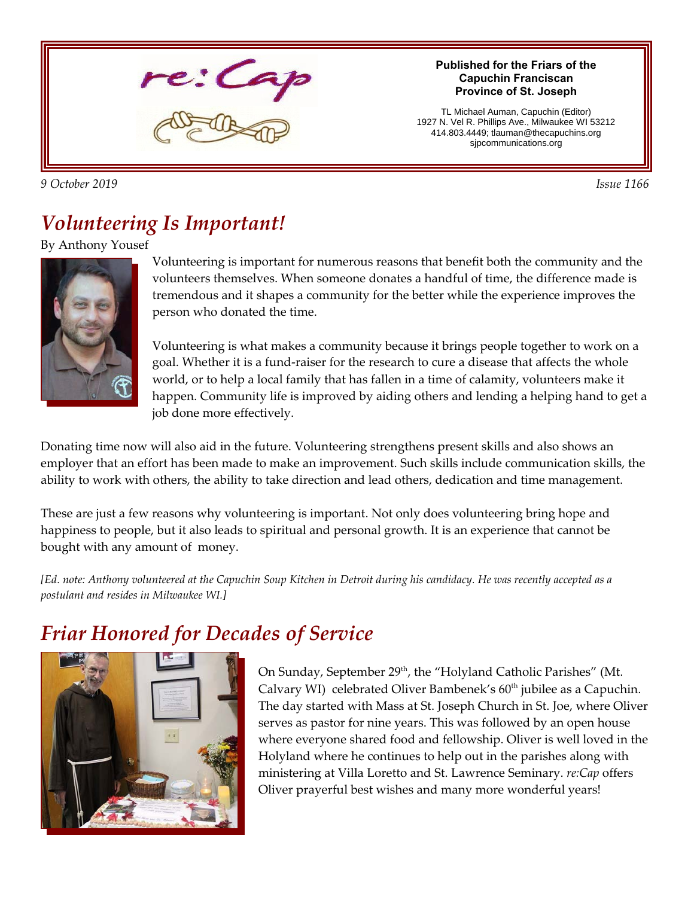

#### *9 October 2019 Issue 1166*

#### **Published for the Friars of the Capuchin Franciscan Province of St. Joseph**

TL Michael Auman, Capuchin (Editor) 1927 N. Vel R. Phillips Ave., Milwaukee WI 53212 414.803.4449; tlauman@thecapuchins.org sjpcommunications.org

### *Volunteering Is Important!*

#### By Anthony Yousef



Volunteering is important for numerous reasons that benefit both the community and the volunteers themselves. When someone donates a handful of time, the difference made is tremendous and it shapes a community for the better while the experience improves the person who donated the time.

Volunteering is what makes a community because it brings people together to work on a goal. Whether it is a fund-raiser for the research to cure a disease that affects the whole world, or to help a local family that has fallen in a time of calamity, volunteers make it happen. Community life is improved by aiding others and lending a helping hand to get a job done more effectively.

Donating time now will also aid in the future. Volunteering strengthens present skills and also shows an employer that an effort has been made to make an improvement. Such skills include communication skills, the ability to work with others, the ability to take direction and lead others, dedication and time management.

These are just a few reasons why volunteering is important. Not only does volunteering bring hope and happiness to people, but it also leads to spiritual and personal growth. It is an experience that cannot be bought with any amount of money.

*[Ed. note: Anthony volunteered at the Capuchin Soup Kitchen in Detroit during his candidacy. He was recently accepted as a postulant and resides in Milwaukee WI.]*

## *Friar Honored for Decades of Service*



On Sunday, September 29<sup>th</sup>, the "Holyland Catholic Parishes" (Mt. Calvary WI) celebrated Oliver Bambenek's  $60<sup>th</sup>$  jubilee as a Capuchin. The day started with Mass at St. Joseph Church in St. Joe, where Oliver serves as pastor for nine years. This was followed by an open house where everyone shared food and fellowship. Oliver is well loved in the Holyland where he continues to help out in the parishes along with ministering at Villa Loretto and St. Lawrence Seminary. *re:Cap* offers Oliver prayerful best wishes and many more wonderful years!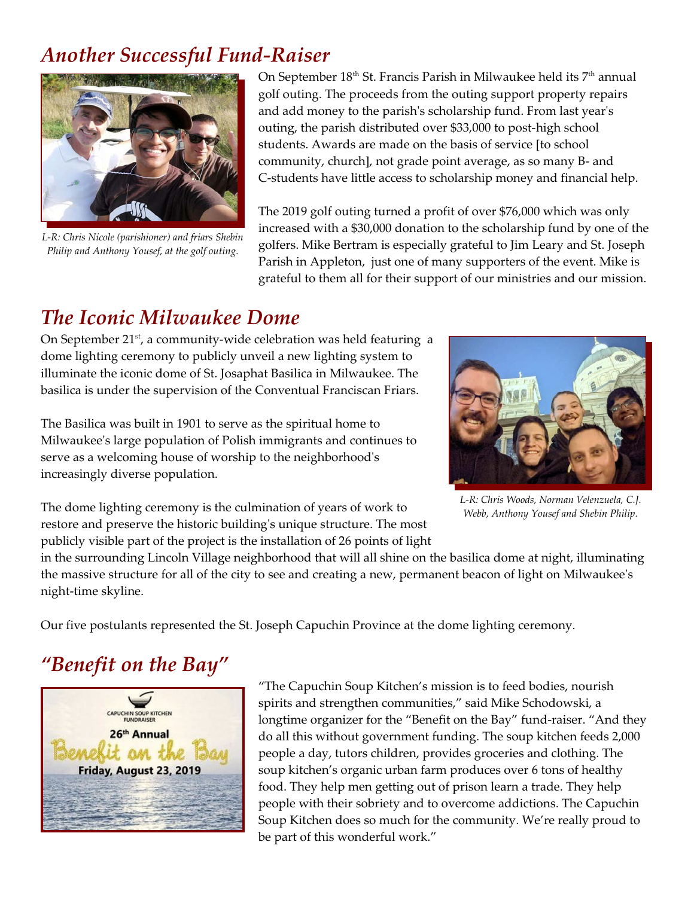### *Another Successful Fund-Raiser*



*L-R: Chris Nicole (parishioner) and friars Shebin Philip and Anthony Yousef, at the golf outing.*

On September 18<sup>th</sup> St. Francis Parish in Milwaukee held its 7<sup>th</sup> annual golf outing. The proceeds from the outing support property repairs and add money to the parish's scholarship fund. From last year's outing, the parish distributed over \$33,000 to post-high school students. Awards are made on the basis of service [to school community, church], not grade point average, as so many B- and C-students have little access to scholarship money and financial help.

The 2019 golf outing turned a profit of over \$76,000 which was only increased with a \$30,000 donation to the scholarship fund by one of the golfers. Mike Bertram is especially grateful to Jim Leary and St. Joseph Parish in Appleton, just one of many supporters of the event. Mike is grateful to them all for their support of our ministries and our mission.

### *The Iconic Milwaukee Dome*

On September  $21<sup>st</sup>$ , a community-wide celebration was held featuring a dome lighting ceremony to publicly unveil a new lighting system to illuminate the iconic dome of St. Josaphat Basilica in Milwaukee. The basilica is under the supervision of the Conventual Franciscan Friars.

The Basilica was built in 1901 to serve as the spiritual home to Milwaukee's large population of Polish immigrants and continues to serve as a welcoming house of worship to the neighborhood's increasingly diverse population.



*L-R: Chris Woods, Norman Velenzuela, C.J. Webb, Anthony Yousef and Shebin Philip.*

The dome lighting ceremony is the culmination of years of work to restore and preserve the historic building's unique structure. The most publicly visible part of the project is the installation of 26 points of light

in the surrounding Lincoln Village neighborhood that will all shine on the basilica dome at night, illuminating the massive structure for all of the city to see and creating a new, permanent beacon of light on Milwaukee's night-time skyline.

Our five postulants represented the St. Joseph Capuchin Province at the dome lighting ceremony.

# *"Benefit on the Bay"*



"The Capuchin Soup Kitchen's mission is to feed bodies, nourish spirits and strengthen communities," said Mike Schodowski, a longtime organizer for the "Benefit on the Bay" fund-raiser. "And they do all this without government funding. The soup kitchen feeds 2,000 people a day, tutors children, provides groceries and clothing. The soup kitchen's organic urban farm produces over 6 tons of healthy food. They help men getting out of prison learn a trade. They help people with their sobriety and to overcome addictions. The Capuchin Soup Kitchen does so much for the community. We're really proud to be part of this wonderful work."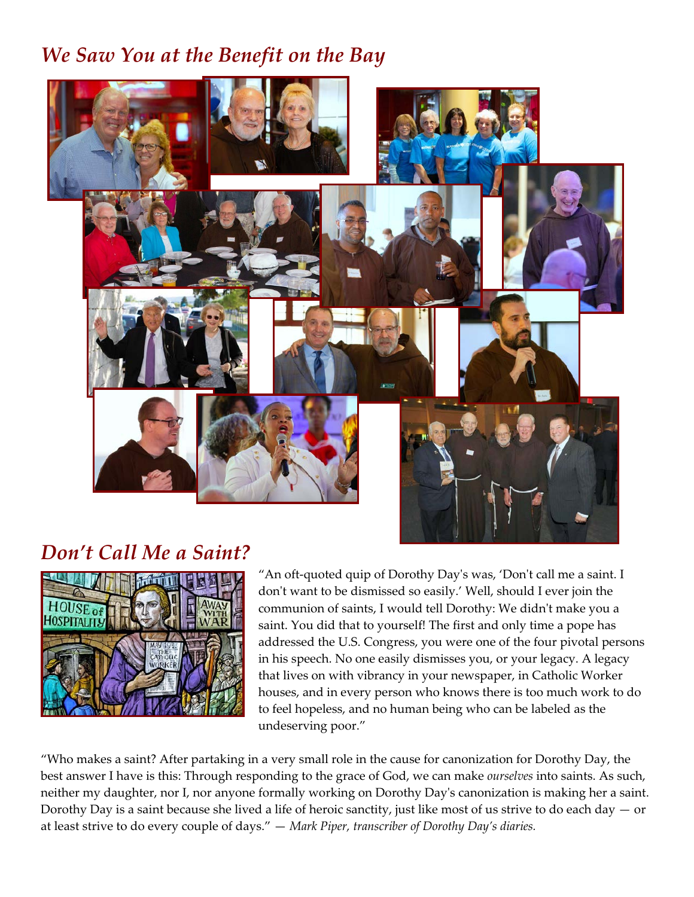### *We Saw You at the Benefit on the Bay*



#### *Don't Call Me a Saint?*



"An oft-quoted quip of Dorothy Day's was, 'Don't call me a saint. I don't want to be dismissed so easily.' Well, should I ever join the communion of saints, I would tell Dorothy: We didn't make you a saint. You did that to yourself! The first and only time a pope has addressed the U.S. Congress, you were one of the four pivotal persons in his speech. No one easily dismisses you, or your legacy. A legacy that lives on with vibrancy in your newspaper, in Catholic Worker houses, and in every person who knows there is too much work to do to feel hopeless, and no human being who can be labeled as the undeserving poor."

"Who makes a saint? After partaking in a very small role in the cause for canonization for Dorothy Day, the best answer I have is this: Through responding to the grace of God, we can make *ourselves* into saints. As such, neither my daughter, nor I, nor anyone formally working on Dorothy Day's canonization is making her a saint. Dorothy Day is a saint because she lived a life of heroic sanctity, just like most of us strive to do each day  $-$  or at least strive to do every couple of days." — *Mark Piper, transcriber of Dorothy Day's diaries.*